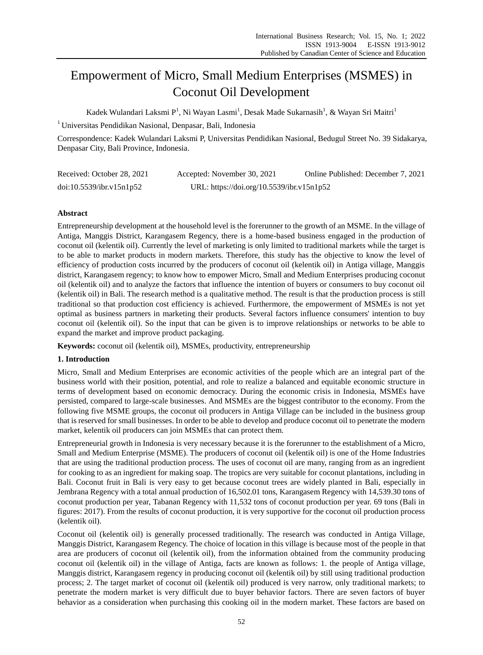# Empowerment of Micro, Small Medium Enterprises (MSMES) in Coconut Oil Development

Kadek Wulandari Laksmi P<sup>1</sup>, Ni Wayan Lasmi<sup>1</sup>, Desak Made Sukarnasih<sup>1</sup>, & Wayan Sri Maitri<sup>1</sup>

<sup>1</sup> Universitas Pendidikan Nasional, Denpasar, Bali, Indonesia

Correspondence: Kadek Wulandari Laksmi P, Universitas Pendidikan Nasional, Bedugul Street No. 39 Sidakarya, Denpasar City, Bali Province, Indonesia.

| Received: October 28, 2021 | Accepted: November 30, 2021               | Online Published: December 7, 2021 |
|----------------------------|-------------------------------------------|------------------------------------|
| doi:10.5539/ibr.v15n1p52   | URL: https://doi.org/10.5539/ibr.v15n1p52 |                                    |

# **Abstract**

Entrepreneurship development at the household level is the forerunner to the growth of an MSME. In the village of Antiga, Manggis District, Karangasem Regency, there is a home-based business engaged in the production of coconut oil (kelentik oil). Currently the level of marketing is only limited to traditional markets while the target is to be able to market products in modern markets. Therefore, this study has the objective to know the level of efficiency of production costs incurred by the producers of coconut oil (kelentik oil) in Antiga village, Manggis district, Karangasem regency; to know how to empower Micro, Small and Medium Enterprises producing coconut oil (kelentik oil) and to analyze the factors that influence the intention of buyers or consumers to buy coconut oil (kelentik oil) in Bali. The research method is a qualitative method. The result is that the production process is still traditional so that production cost efficiency is achieved. Furthermore, the empowerment of MSMEs is not yet optimal as business partners in marketing their products. Several factors influence consumers' intention to buy coconut oil (kelentik oil). So the input that can be given is to improve relationships or networks to be able to expand the market and improve product packaging.

**Keywords:** coconut oil (kelentik oil), MSMEs, productivity, entrepreneurship

## **1. Introduction**

Micro, Small and Medium Enterprises are economic activities of the people which are an integral part of the business world with their position, potential, and role to realize a balanced and equitable economic structure in terms of development based on economic democracy. During the economic crisis in Indonesia, MSMEs have persisted, compared to large-scale businesses. And MSMEs are the biggest contributor to the economy. From the following five MSME groups, the coconut oil producers in Antiga Village can be included in the business group that is reserved for small businesses. In order to be able to develop and produce coconut oil to penetrate the modern market, kelentik oil producers can join MSMEs that can protect them.

Entrepreneurial growth in Indonesia is very necessary because it is the forerunner to the establishment of a Micro, Small and Medium Enterprise (MSME). The producers of coconut oil (kelentik oil) is one of the Home Industries that are using the traditional production process. The uses of coconut oil are many, ranging from as an ingredient for cooking to as an ingredient for making soap. The tropics are very suitable for coconut plantations, including in Bali. Coconut fruit in Bali is very easy to get because coconut trees are widely planted in Bali, especially in Jembrana Regency with a total annual production of 16,502.01 tons, Karangasem Regency with 14,539.30 tons of coconut production per year, Tabanan Regency with 11,532 tons of coconut production per year. 69 tons (Bali in figures: 2017). From the results of coconut production, it is very supportive for the coconut oil production process (kelentik oil).

Coconut oil (kelentik oil) is generally processed traditionally. The research was conducted in Antiga Village, Manggis District, Karangasem Regency. The choice of location in this village is because most of the people in that area are producers of coconut oil (kelentik oil), from the information obtained from the community producing coconut oil (kelentik oil) in the village of Antiga, facts are known as follows: 1. the people of Antiga village, Manggis district, Karangasem regency in producing coconut oil (kelentik oil) by still using traditional production process; 2. The target market of coconut oil (kelentik oil) produced is very narrow, only traditional markets; to penetrate the modern market is very difficult due to buyer behavior factors. There are seven factors of buyer behavior as a consideration when purchasing this cooking oil in the modern market. These factors are based on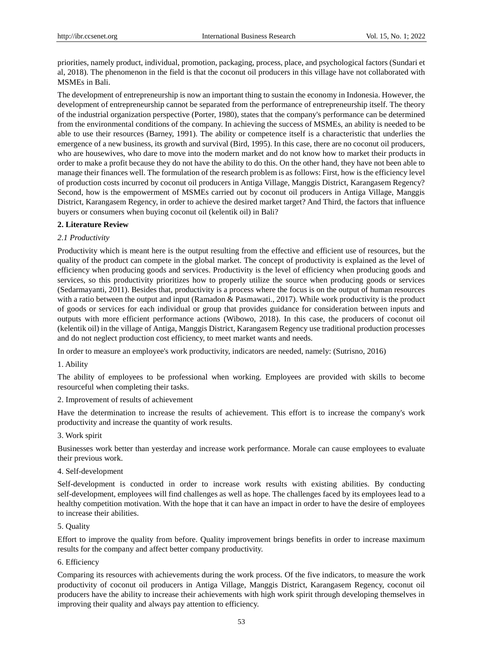priorities, namely product, individual, promotion, packaging, process, place, and psychological factors (Sundari et al, 2018). The phenomenon in the field is that the coconut oil producers in this village have not collaborated with MSMEs in Bali.

The development of entrepreneurship is now an important thing to sustain the economy in Indonesia. However, the development of entrepreneurship cannot be separated from the performance of entrepreneurship itself. The theory of the industrial organization perspective (Porter, 1980), states that the company's performance can be determined from the environmental conditions of the company. In achieving the success of MSMEs, an ability is needed to be able to use their resources (Barney, 1991). The ability or competence itself is a characteristic that underlies the emergence of a new business, its growth and survival (Bird, 1995). In this case, there are no coconut oil producers, who are housewives, who dare to move into the modern market and do not know how to market their products in order to make a profit because they do not have the ability to do this. On the other hand, they have not been able to manage their finances well. The formulation of the research problem is as follows: First, how is the efficiency level of production costs incurred by coconut oil producers in Antiga Village, Manggis District, Karangasem Regency? Second, how is the empowerment of MSMEs carried out by coconut oil producers in Antiga Village, Manggis District, Karangasem Regency, in order to achieve the desired market target? And Third, the factors that influence buyers or consumers when buying coconut oil (kelentik oil) in Bali?

# **2. Literature Review**

# *2.1 Productivity*

Productivity which is meant here is the output resulting from the effective and efficient use of resources, but the quality of the product can compete in the global market. The concept of productivity is explained as the level of efficiency when producing goods and services. Productivity is the level of efficiency when producing goods and services, so this productivity prioritizes how to properly utilize the source when producing goods or services (Sedarmayanti, 2011). Besides that, productivity is a process where the focus is on the output of human resources with a ratio between the output and input (Ramadon & Pasmawati., 2017). While work productivity is the product of goods or services for each individual or group that provides guidance for consideration between inputs and outputs with more efficient performance actions (Wibowo, 2018). In this case, the producers of coconut oil (kelentik oil) in the village of Antiga, Manggis District, Karangasem Regency use traditional production processes and do not neglect production cost efficiency, to meet market wants and needs.

In order to measure an employee's work productivity, indicators are needed, namely: (Sutrisno, 2016)

1. Ability

The ability of employees to be professional when working. Employees are provided with skills to become resourceful when completing their tasks.

## 2. Improvement of results of achievement

Have the determination to increase the results of achievement. This effort is to increase the company's work productivity and increase the quantity of work results.

## 3. Work spirit

Businesses work better than yesterday and increase work performance. Morale can cause employees to evaluate their previous work.

## 4. Self-development

Self-development is conducted in order to increase work results with existing abilities. By conducting self-development, employees will find challenges as well as hope. The challenges faced by its employees lead to a healthy competition motivation. With the hope that it can have an impact in order to have the desire of employees to increase their abilities.

## 5. Quality

Effort to improve the quality from before. Quality improvement brings benefits in order to increase maximum results for the company and affect better company productivity.

## 6. Efficiency

Comparing its resources with achievements during the work process. Of the five indicators, to measure the work productivity of coconut oil producers in Antiga Village, Manggis District, Karangasem Regency, coconut oil producers have the ability to increase their achievements with high work spirit through developing themselves in improving their quality and always pay attention to efficiency.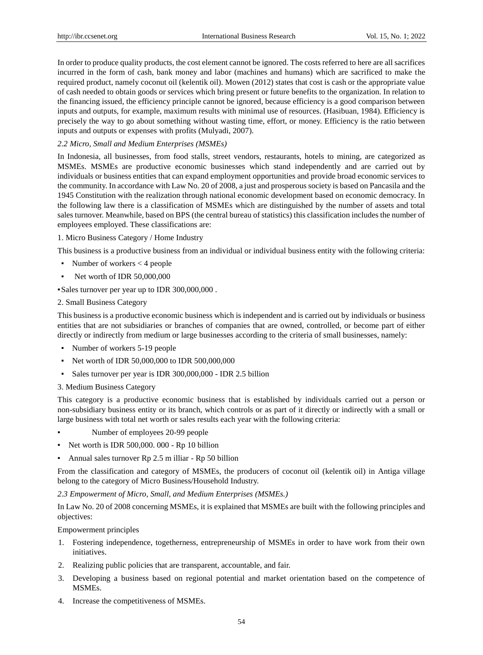In order to produce quality products, the cost element cannot be ignored. The costs referred to here are all sacrifices incurred in the form of cash, bank money and labor (machines and humans) which are sacrificed to make the required product, namely coconut oil (kelentik oil). Mowen (2012) states that cost is cash or the appropriate value of cash needed to obtain goods or services which bring present or future benefits to the organization. In relation to the financing issued, the efficiency principle cannot be ignored, because efficiency is a good comparison between inputs and outputs, for example, maximum results with minimal use of resources. (Hasibuan, 1984). Efficiency is precisely the way to go about something without wasting time, effort, or money. Efficiency is the ratio between inputs and outputs or expenses with profits (Mulyadi, 2007).

#### *2.2 Micro, Small and Medium Enterprises (MSMEs)*

In Indonesia, all businesses, from food stalls, street vendors, restaurants, hotels to mining, are categorized as MSMEs. MSMEs are productive economic businesses which stand independently and are carried out by individuals or business entities that can expand employment opportunities and provide broad economic services to the community. In accordance with Law No. 20 of 2008, a just and prosperous society is based on Pancasila and the 1945 Constitution with the realization through national economic development based on economic democracy. In the following law there is a classification of MSMEs which are distinguished by the number of assets and total sales turnover. Meanwhile, based on BPS (the central bureau of statistics) this classification includes the number of employees employed. These classifications are:

#### 1. Micro Business Category / Home Industry

This business is a productive business from an individual or individual business entity with the following criteria:

- Number of workers  $<$  4 people
- Net worth of IDR 50,000,000

▪Sales turnover per year up to IDR 300,000,000 .

2. Small Business Category

This business is a productive economic business which is independent and is carried out by individuals or business entities that are not subsidiaries or branches of companies that are owned, controlled, or become part of either directly or indirectly from medium or large businesses according to the criteria of small businesses, namely:

- Number of workers 5-19 people
- Net worth of IDR 50,000,000 to IDR 500,000,000
- Sales turnover per year is IDR 300,000,000 IDR 2.5 billion

#### 3. Medium Business Category

This category is a productive economic business that is established by individuals carried out a person or non-subsidiary business entity or its branch, which controls or as part of it directly or indirectly with a small or large business with total net worth or sales results each year with the following criteria:

- Number of employees 20-99 people
- Net worth is IDR 500,000. 000 Rp 10 billion
- Annual sales turnover Rp 2.5 m illiar Rp 50 billion

From the classification and category of MSMEs, the producers of coconut oil (kelentik oil) in Antiga village belong to the category of Micro Business/Household Industry.

*2.3 Empowerment of Micro, Small, and Medium Enterprises (MSMEs.)*

In Law No. 20 of 2008 concerning MSMEs, it is explained that MSMEs are built with the following principles and objectives:

#### Empowerment principles

- 1. Fostering independence, togetherness, entrepreneurship of MSMEs in order to have work from their own initiatives.
- 2. Realizing public policies that are transparent, accountable, and fair.
- 3. Developing a business based on regional potential and market orientation based on the competence of MSMEs.
- 4. Increase the competitiveness of MSMEs.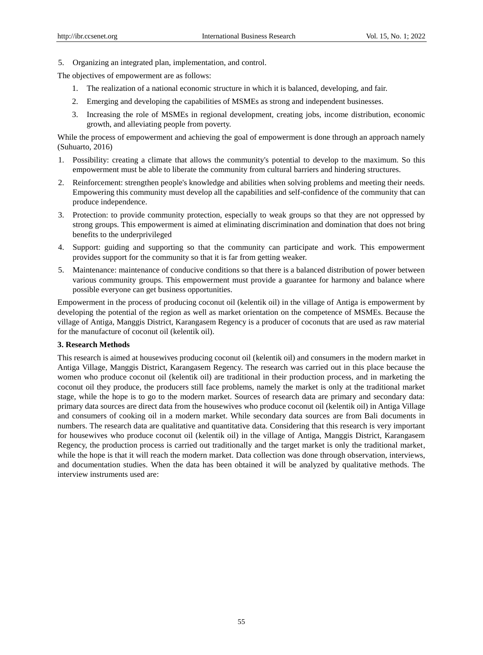5. Organizing an integrated plan, implementation, and control.

The objectives of empowerment are as follows:

- 1. The realization of a national economic structure in which it is balanced, developing, and fair.
- 2. Emerging and developing the capabilities of MSMEs as strong and independent businesses.
- 3. Increasing the role of MSMEs in regional development, creating jobs, income distribution, economic growth, and alleviating people from poverty.

While the process of empowerment and achieving the goal of empowerment is done through an approach namely (Suhuarto, 2016)

- 1. Possibility: creating a climate that allows the community's potential to develop to the maximum. So this empowerment must be able to liberate the community from cultural barriers and hindering structures.
- 2. Reinforcement: strengthen people's knowledge and abilities when solving problems and meeting their needs. Empowering this community must develop all the capabilities and self-confidence of the community that can produce independence.
- 3. Protection: to provide community protection, especially to weak groups so that they are not oppressed by strong groups. This empowerment is aimed at eliminating discrimination and domination that does not bring benefits to the underprivileged
- 4. Support: guiding and supporting so that the community can participate and work. This empowerment provides support for the community so that it is far from getting weaker.
- 5. Maintenance: maintenance of conducive conditions so that there is a balanced distribution of power between various community groups. This empowerment must provide a guarantee for harmony and balance where possible everyone can get business opportunities.

Empowerment in the process of producing coconut oil (kelentik oil) in the village of Antiga is empowerment by developing the potential of the region as well as market orientation on the competence of MSMEs. Because the village of Antiga, Manggis District, Karangasem Regency is a producer of coconuts that are used as raw material for the manufacture of coconut oil (kelentik oil).

## **3. Research Methods**

This research is aimed at housewives producing coconut oil (kelentik oil) and consumers in the modern market in Antiga Village, Manggis District, Karangasem Regency. The research was carried out in this place because the women who produce coconut oil (kelentik oil) are traditional in their production process, and in marketing the coconut oil they produce, the producers still face problems, namely the market is only at the traditional market stage, while the hope is to go to the modern market. Sources of research data are primary and secondary data: primary data sources are direct data from the housewives who produce coconut oil (kelentik oil) in Antiga Village and consumers of cooking oil in a modern market. While secondary data sources are from Bali documents in numbers. The research data are qualitative and quantitative data. Considering that this research is very important for housewives who produce coconut oil (kelentik oil) in the village of Antiga, Manggis District, Karangasem Regency, the production process is carried out traditionally and the target market is only the traditional market, while the hope is that it will reach the modern market. Data collection was done through observation, interviews, and documentation studies. When the data has been obtained it will be analyzed by qualitative methods. The interview instruments used are: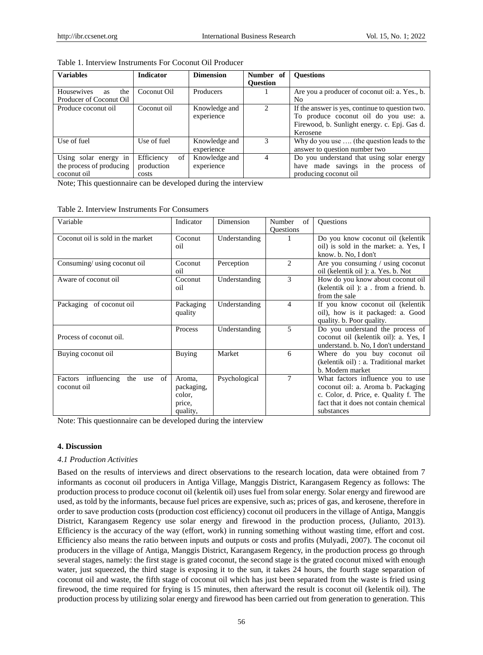| Table 1. Interview Instruments For Coconut Oil Producer |  |  |
|---------------------------------------------------------|--|--|
|---------------------------------------------------------|--|--|

| <b>Variables</b>                      | <b>Indicator</b> | <b>Dimension</b> | Number of                   | <b>Ouestions</b>                                |
|---------------------------------------|------------------|------------------|-----------------------------|-------------------------------------------------|
|                                       |                  |                  | <b>Ouestion</b>             |                                                 |
| <b>Housewives</b><br>the<br><b>as</b> | Coconut Oil      | <b>Producers</b> |                             | Are you a producer of coconut oil: a. Yes., b.  |
| Producer of Coconut Oil               |                  |                  |                             | N <sub>0</sub>                                  |
| Produce coconut oil                   | Coconut oil      | Knowledge and    | $\mathcal{D}_{\mathcal{L}}$ | If the answer is yes, continue to question two. |
|                                       |                  | experience       |                             | To produce coconut oil do you use: a.           |
|                                       |                  |                  |                             | Firewood, b. Sunlight energy. c. Epj. Gas d.    |
|                                       |                  |                  |                             | Kerosene                                        |
| Use of fuel                           | Use of fuel      | Knowledge and    | 3                           | Why do you use  (the question leads to the      |
|                                       |                  | experience       |                             | answer to question number two                   |
| Using solar energy in                 | Efficiency<br>of | Knowledge and    | $\overline{4}$              | Do you understand that using solar energy       |
| the process of producing              | production       | experience       |                             | have made savings in the process of             |
| coconut oil                           | costs            |                  |                             | producing coconut oil                           |

Note; This questionnaire can be developed during the interview

| Variable                                         | Indicator                                            | Dimension     | of<br>Number<br><b>Questions</b> | Questions                                                                                                                                                                |
|--------------------------------------------------|------------------------------------------------------|---------------|----------------------------------|--------------------------------------------------------------------------------------------------------------------------------------------------------------------------|
| Coconut oil is sold in the market                | Coconut<br>oil                                       | Understanding |                                  | Do you know coconut oil (kelentik<br>oil) is sold in the market: a. Yes, I<br>know. b. No, I don't                                                                       |
| Consuming/ using coconut oil                     | Coconut<br>oil                                       | Perception    | $\overline{c}$                   | Are you consuming $\ell$ using coconut<br>oil (kelentik oil ): a. Yes. b. Not                                                                                            |
| Aware of coconut oil                             | Coconut<br>oil                                       | Understanding | 3                                | How do you know about coconut oil<br>(kelentik oil): a . from a friend. b.<br>from the sale                                                                              |
| Packaging of coconut oil                         | Packaging<br>quality                                 | Understanding | 4                                | If you know coconut oil (kelentik<br>oil), how is it packaged: a. Good<br>quality. b. Poor quality.                                                                      |
| Process of coconut oil.                          | Process                                              | Understanding | $\overline{5}$                   | Do you understand the process of<br>coconut oil (kelentik oil): a. Yes, I<br>understand. b. No, I don't understand                                                       |
| Buying coconut oil                               | <b>Buying</b>                                        | Market        | 6                                | Where do you buy coconut oil<br>(kelentik oil) : a. Traditional market<br>b. Modern market                                                                               |
| the use of<br>Factors influencing<br>coconut oil | Aroma,<br>packaging,<br>color,<br>price,<br>quality, | Psychological | 7                                | What factors influence you to use<br>coconut oil: a. Aroma b. Packaging<br>c. Color, d. Price, e. Quality f. The<br>fact that it does not contain chemical<br>substances |

Table 2. Interview Instruments For Consumers

Note: This questionnaire can be developed during the interview

#### **4. Discussion**

#### *4.1 Production Activities*

Based on the results of interviews and direct observations to the research location, data were obtained from 7 informants as coconut oil producers in Antiga Village, Manggis District, Karangasem Regency as follows: The production process to produce coconut oil (kelentik oil) uses fuel from solar energy. Solar energy and firewood are used, as told by the informants, because fuel prices are expensive, such as; prices of gas, and kerosene, therefore in order to save production costs (production cost efficiency) coconut oil producers in the village of Antiga, Manggis District, Karangasem Regency use solar energy and firewood in the production process, (Julianto, 2013). Efficiency is the accuracy of the way (effort, work) in running something without wasting time, effort and cost. Efficiency also means the ratio between inputs and outputs or costs and profits (Mulyadi, 2007). The coconut oil producers in the village of Antiga, Manggis District, Karangasem Regency, in the production process go through several stages, namely: the first stage is grated coconut, the second stage is the grated coconut mixed with enough water, just squeezed, the third stage is exposing it to the sun, it takes 24 hours, the fourth stage separation of coconut oil and waste, the fifth stage of coconut oil which has just been separated from the waste is fried using firewood, the time required for frying is 15 minutes, then afterward the result is coconut oil (kelentik oil). The production process by utilizing solar energy and firewood has been carried out from generation to generation. This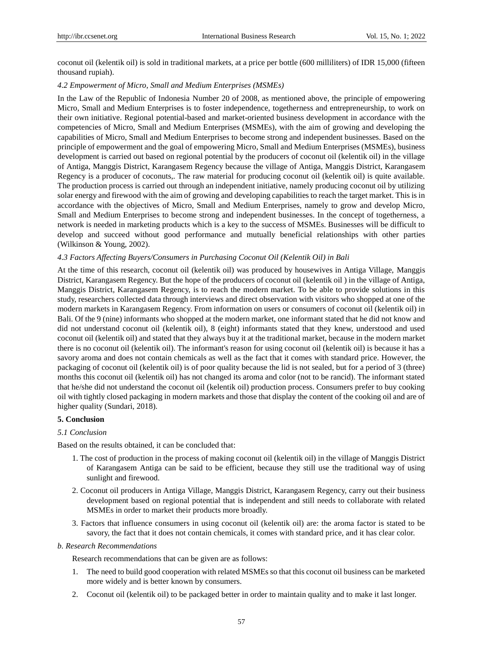coconut oil (kelentik oil) is sold in traditional markets, at a price per bottle (600 milliliters) of IDR 15,000 (fifteen thousand rupiah).

#### *4.2 Empowerment of Micro, Small and Medium Enterprises (MSMEs)*

In the Law of the Republic of Indonesia Number 20 of 2008, as mentioned above, the principle of empowering Micro, Small and Medium Enterprises is to foster independence, togetherness and entrepreneurship, to work on their own initiative. Regional potential-based and market-oriented business development in accordance with the competencies of Micro, Small and Medium Enterprises (MSMEs), with the aim of growing and developing the capabilities of Micro, Small and Medium Enterprises to become strong and independent businesses. Based on the principle of empowerment and the goal of empowering Micro, Small and Medium Enterprises (MSMEs), business development is carried out based on regional potential by the producers of coconut oil (kelentik oil) in the village of Antiga, Manggis District, Karangasem Regency because the village of Antiga, Manggis District, Karangasem Regency is a producer of coconuts,. The raw material for producing coconut oil (kelentik oil) is quite available. The production process is carried out through an independent initiative, namely producing coconut oil by utilizing solar energy and firewood with the aim of growing and developing capabilities to reach the target market. This is in accordance with the objectives of Micro, Small and Medium Enterprises, namely to grow and develop Micro, Small and Medium Enterprises to become strong and independent businesses. In the concept of togetherness, a network is needed in marketing products which is a key to the success of MSMEs. Businesses will be difficult to develop and succeed without good performance and mutually beneficial relationships with other parties (Wilkinson & Young, 2002).

#### *4.3 Factors Affecting Buyers/Consumers in Purchasing Coconut Oil (Kelentik Oil) in Bali*

At the time of this research, coconut oil (kelentik oil) was produced by housewives in Antiga Village, Manggis District, Karangasem Regency. But the hope of the producers of coconut oil (kelentik oil ) in the village of Antiga, Manggis District, Karangasem Regency, is to reach the modern market. To be able to provide solutions in this study, researchers collected data through interviews and direct observation with visitors who shopped at one of the modern markets in Karangasem Regency. From information on users or consumers of coconut oil (kelentik oil) in Bali. Of the 9 (nine) informants who shopped at the modern market, one informant stated that he did not know and did not understand coconut oil (kelentik oil), 8 (eight) informants stated that they knew, understood and used coconut oil (kelentik oil) and stated that they always buy it at the traditional market, because in the modern market there is no coconut oil (kelentik oil). The informant's reason for using coconut oil (kelentik oil) is because it has a savory aroma and does not contain chemicals as well as the fact that it comes with standard price. However, the packaging of coconut oil (kelentik oil) is of poor quality because the lid is not sealed, but for a period of 3 (three) months this coconut oil (kelentik oil) has not changed its aroma and color (not to be rancid). The informant stated that he/she did not understand the coconut oil (kelentik oil) production process. Consumers prefer to buy cooking oil with tightly closed packaging in modern markets and those that display the content of the cooking oil and are of higher quality (Sundari, 2018).

#### **5. Conclusion**

#### *5.1 Conclusion*

Based on the results obtained, it can be concluded that:

- 1. The cost of production in the process of making coconut oil (kelentik oil) in the village of Manggis District of Karangasem Antiga can be said to be efficient, because they still use the traditional way of using sunlight and firewood.
- 2. Coconut oil producers in Antiga Village, Manggis District, Karangasem Regency, carry out their business development based on regional potential that is independent and still needs to collaborate with related MSMEs in order to market their products more broadly.
- 3. Factors that influence consumers in using coconut oil (kelentik oil) are: the aroma factor is stated to be savory, the fact that it does not contain chemicals, it comes with standard price, and it has clear color.

#### *b. Research Recommendations*

Research recommendations that can be given are as follows:

- 1. The need to build good cooperation with related MSMEs so that this coconut oil business can be marketed more widely and is better known by consumers.
- 2. Coconut oil (kelentik oil) to be packaged better in order to maintain quality and to make it last longer.